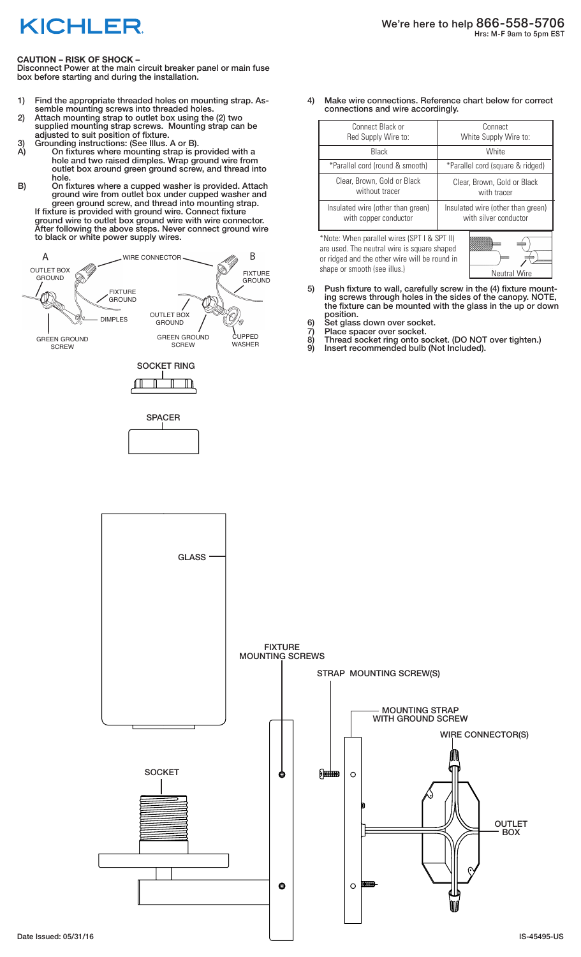## **KICHLER**

## **CAUTION – RISK OF SHOCK –**

Disconnect Power at the main circuit breaker panel or main fuse box before starting and during the installation.

- 1) Find the appropriate threaded holes on mounting strap. Assemble mounting screws into threaded holes.
- 2) Attach mounting strap to outlet box using the (2) two supplied mounting strap screws. Mounting strap can be adjusted to suit position of fixture.
- 3) Grounding instructions: (See Illus. A or B).
- A) On fixtures where mounting strap is provided with a hole and two raised dimples. Wrap ground wire from outlet box around green ground screw, and thread into hole.
- B) On fixtures where a cupped washer is provided. Attach ground wire from outlet box under cupped washer and green ground screw, and thread into mounting strap. If fixture is provided with ground wire. Connect fixture

ground wire to outlet box ground wire with wire connector. After following the above steps. Never connect ground wire to black or white power supply wires.



4) Make wire connections. Reference chart below for correct connections and wire accordingly.

| Connect Black or                                                                                                                                                                                   | Connect                           |
|----------------------------------------------------------------------------------------------------------------------------------------------------------------------------------------------------|-----------------------------------|
| Red Supply Wire to:                                                                                                                                                                                | White Supply Wire to:             |
| Black                                                                                                                                                                                              | <b>White</b>                      |
| *Parallel cord (round & smooth)                                                                                                                                                                    | *Parallel cord (square & ridged)  |
| Clear, Brown, Gold or Black                                                                                                                                                                        | Clear, Brown, Gold or Black       |
| without tracer                                                                                                                                                                                     | with tracer                       |
| Insulated wire (other than green)                                                                                                                                                                  | Insulated wire (other than green) |
| with copper conductor                                                                                                                                                                              | with silver conductor             |
| *Note: When parallel wires (SPT I & SPT II)<br>are used. The neutral wire is square shaped<br>or ridged and the other wire will be round in<br>shape or smooth (see illus.)<br><b>Neutral Wire</b> |                                   |

- 5) Push fixture to wall, carefully screw in the (4) fixture mounting screws through holes in the sides of the canopy. NOTE, the fixture can be mounted with the glass in the up or down position.
- 6) Set glass down over socket.
- 7) Place spacer over socket.<br>8) Thread socket ring onto so
- 8) Thread socket ring onto socket. (DO NOT over tighten.)
- 9) Insert recommended bulb (Not Included).

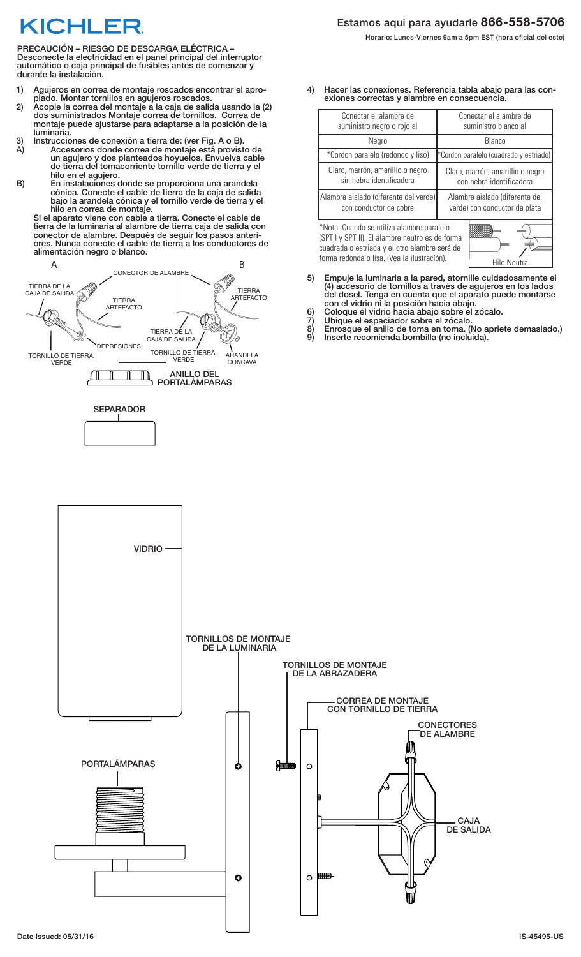## KICHLEF

PRECAUCIÓN – RIESGO DE DESCARGA ELÉCTRICA – Desconecte la electricidad en el panel principal del interruptor automático o caja principal de fusibles antes de comenzar y durante la instalación.

- 1) Agujeros en correa de montaje roscados encontrar el apropiado. Montar tornillos en agujeros roscados.
- 2) Acople la correa del montaje a la caja de salida usando la (2) dos suministrados Montaje correa de tornillos. Correa de montaje puede ajustarse para adaptarse a la posición de la luminaria.
- 3) Instrucciones de conexión a tierra de: (ver Fig. A o B).
	- A) Accesorios donde correa de montaje está provisto de un agujero y dos planteados hoyuelos. Envuelva cable de tierra del tomacorriente tornillo verde de tierra y el hilo en el agujero.
- B) En instalaciones donde se proporciona una arandela cónica. Conecte el cable de tierra de la caja de salida bajo la arandela cónica y el tornillo verde de tierra y el hilo en correa de montaje.

Si el aparato viene con cable a tierra. Conecte el cable de tierra de la luminaria al alambre de tierra caja de salida con conector de alambre. Después de seguir los pasos anteriores. Nunca conecte el cable de tierra a los conductores de alimentación negro o blanco.







4) Hacer las conexiones. Referencia tabla abajo para las conexiones correctas y alambre en consecuencia.

| Conectar el alambre de                                                                                                                                                                                       | Conectar el alambre de                 |
|--------------------------------------------------------------------------------------------------------------------------------------------------------------------------------------------------------------|----------------------------------------|
| suministro negro o rojo al                                                                                                                                                                                   | suministro blanco al                   |
| Negro                                                                                                                                                                                                        | Blanco                                 |
| *Cordon paralelo (redondo y liso)                                                                                                                                                                            | *Cordon paralelo (cuadrado y estriado) |
| Claro, marrón, amarillio o negro                                                                                                                                                                             | Claro, marrón, amarillio o negro       |
| sin hebra identificadora                                                                                                                                                                                     | con hebra identificadora               |
| Alambre aislado (diferente del verde)                                                                                                                                                                        | Alambre aislado (diferente del         |
| con conductor de cobre                                                                                                                                                                                       | verde) con conductor de plata          |
| *Nota: Cuando se utiliza alambre paralelo<br>(SPT I y SPT II). El alambre neutro es de forma<br>cuadrada o estriada y el otro alambre será de<br>forma redonda o lisa. (Vea la ilustracíón).<br>Hilo Neutral |                                        |

- 5) Empuje la luminaria a la pared, atornille cuidadosamente el (4) accesorio de tornillos a través de agujeros en los lados del dosel. Tenga en cuenta que el aparato puede montarse con el vidrio ni la posición hacia abajo.
- 6) Coloque el vidrio hacia abajo sobre el zócalo.
- 7) Ubique el espaciador sobre el zócalo.
- 8) Enrosque el anillo de toma en toma. (No apriete demasiado.)
- 9) Inserte recomienda bombilla (no incluida).